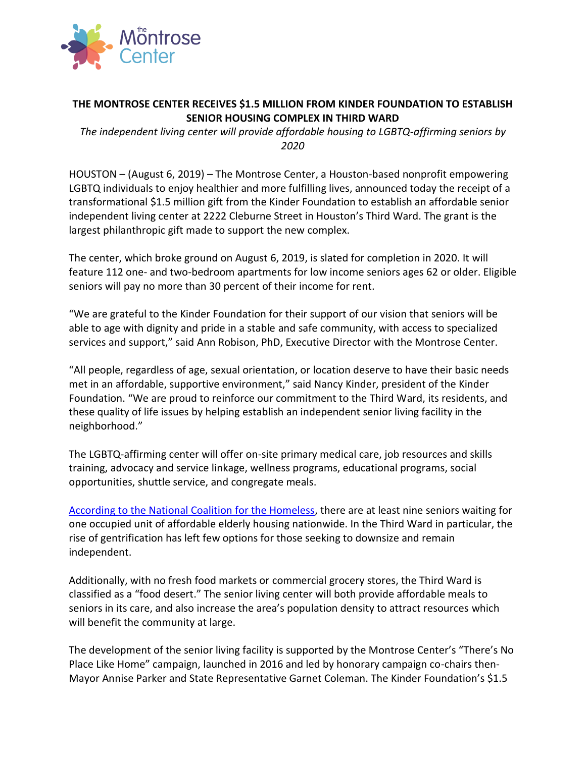

## **THE MONTROSE CENTER RECEIVES \$1.5 MILLION FROM KINDER FOUNDATION TO ESTABLISH SENIOR HOUSING COMPLEX IN THIRD WARD**

*The independent living center will provide affordable housing to LGBTQ-affirming seniors by 2020*

HOUSTON – (August 6, 2019) – The Montrose Center, a Houston-based nonprofit empowering LGBTQ individuals to enjoy healthier and more fulfilling lives, announced today the receipt of a transformational \$1.5 million gift from the Kinder Foundation to establish an affordable senior independent living center at 2222 Cleburne Street in Houston's Third Ward. The grant is the largest philanthropic gift made to support the new complex.

The center, which broke ground on August 6, 2019, is slated for completion in 2020. It will feature 112 one- and two-bedroom apartments for low income seniors ages 62 or older. Eligible seniors will pay no more than 30 percent of their income for rent.

"We are grateful to the Kinder Foundation for their support of our vision that seniors will be able to age with dignity and pride in a stable and safe community, with access to specialized services and support," said Ann Robison, PhD, Executive Director with the Montrose Center.

"All people, regardless of age, sexual orientation, or location deserve to have their basic needs met in an affordable, supportive environment," said Nancy Kinder, president of the Kinder Foundation. "We are proud to reinforce our commitment to the Third Ward, its residents, and these quality of life issues by helping establish an independent senior living facility in the neighborhood."

The LGBTQ-affirming center will offer on-site primary medical care, job resources and skills training, advocacy and service linkage, wellness programs, educational programs, social opportunities, shuttle service, and congregate meals.

[According to the National Coalition for the Homeless,](http://nationalhomeless.org/issues/elderly/) there are at least nine seniors waiting for one occupied unit of affordable elderly housing nationwide. In the Third Ward in particular, the rise of gentrification has left few options for those seeking to downsize and remain independent.

Additionally, with no fresh food markets or commercial grocery stores, the Third Ward is classified as a "food desert." The senior living center will both provide affordable meals to seniors in its care, and also increase the area's population density to attract resources which will benefit the community at large.

The development of the senior living facility is supported by the Montrose Center's "There's No Place Like Home" campaign, launched in 2016 and led by honorary campaign co-chairs then-Mayor Annise Parker and State Representative Garnet Coleman. The Kinder Foundation's \$1.5